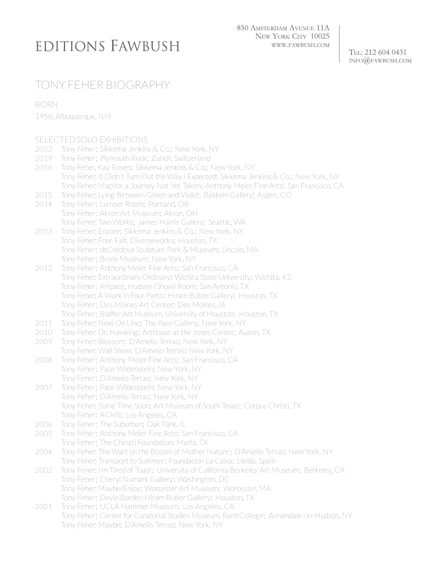## EDITIONS FAWBUSH

850 AMSTERDAM AVENUE 11A NEW YORK CITY 10025 WWW.FAWBUSH.COM

TEL: 212 604 0431  $INFO@$ FAWBUSH.COM

## TONY FEHER BIOGRAPHY

BORN

1956, Albuquerque, NM

|      | SELECTED SOLO EXHIBITIONS                                                                  |
|------|--------------------------------------------------------------------------------------------|
| 2022 | Tony Feher; Sikkema Jenkins & Co.; New York, NY                                            |
| 2019 | Tony Feher; Plymouth Rock; Zurich, Switzerland                                             |
| 2016 | Tony Feher, Kay Rosen; Sikkema Jenkins & Co.; New York, NY                                 |
|      | Tony Feher: It Didn't Turn Out the Way I Expected; Sikkema Jenkins & Co.; New York, NY     |
|      | Tony Feher: Map for a Journey Not Yet Taken; Anthony Meier Fine Arts; San Francisco, CA    |
| 2015 | Tony Feher: Lying Between Green and Violet; Baldwin Gallery; Aspen, CO                     |
| 2014 | Tony Feher; Lumber Room; Portland, OR                                                      |
|      | Tony Feher; Akron Art Museum; Akron, OH                                                    |
|      | Tony Feher: Two Works; James Harris Gallery; Seattle, WA                                   |
| 2013 | Tony Feher: Encore; Sikkema Jenkins & Co.; New York, NY                                    |
|      | Tony Feher: Free Fall; Diverseworks; Houston, TX                                           |
|      | Tony Feher; deCordova Sculpture Park & Museum; Lincoln, MA                                 |
|      | Tony Feher; Bronx Museum; New York, NY                                                     |
| 2012 | Tony Feher; Anthony Meier Fine Arts; San Francisco, CA                                     |
|      | Tony Feher: Extraordinary Ordinary; Wichita State University; Wichita, KS                  |
|      | Tony Feher; Artpace, Hudson (Show) Room; San Antonio, TX                                   |
|      | Tony Feher: A Work in Four Parts; Hiram Butler Gallery; Houston, TX                        |
|      | Tony Feher; Des Moines Art Center; Des Moines, IA                                          |
|      | Tony Feher; Blaffer Art Museum, University of Houston; Houston, TX                         |
| 2011 | Tony Feher: Next On Line; The Pace Gallery; New York, NY                                   |
| 2010 | Tony Feher: Dr. Hawking; Arthouse at the Jones Center; Austin, TX                          |
| 2009 | Tony Feher: Blossom; D'Amelio Terras; New York, NY                                         |
|      | Tony Feher: Wall Show; D'Amelio Terras; New York, NY                                       |
| 2008 | Tony Feher; Anthony Meier Fine Arts; San Francisco, CA                                     |
|      | Tony Feher; Pace Wildenstein; New York, NY                                                 |
|      | Tony Feher; D'Amelio Terras; New York, NY                                                  |
| 2007 | Tony Feher; Pace Wildenstein; New York, NY                                                 |
|      | Tony Feher; D'Amelio Terras; New York, NY                                                  |
|      | Tony Feher: Some Time Soon; Art Museum of South Texas; Corpus Christi, TX                  |
|      | Tony Feher; ACME; Los Angeles, CA                                                          |
| 2006 | Tony Feher; The Suburban; Oak Park, IL                                                     |
| 2005 | Tony Feher; Anthony Meier Fine Arts; San Francisco, CA                                     |
|      | Tony Feher; The Chinati Foundation; Marfa, TX                                              |
| 2004 | Tony Feher: The Wart on the Bosom of Mother Nature ; D'Amelio Terras; New York, NY         |
|      | Tony Feher: Transport to Summer; Foundacion La Caixa; Lleida, Spain                        |
| 2002 | Tony Feher: I'm Tired of Toast; University of California Berkeley Art Museum; Berkeley, CA |
|      | Tony Feher; Cheryl Numark Gallery; Washington, DC                                          |
|      | Tony Feher: Maybe/Enjoy; Worcester Art Museum; Worcester, MA                               |
|      | Tony Feher; Devin Borden Hiram Butler Gallery; Houston, TX                                 |
| 2001 | Tony Feher; UCLA Hammer Museum; Los Angeles, CA                                            |
|      | Tony Feher; Center for Curatorial Studies Museum, Bard College; Annandale-on-Hudson, NY    |
|      | Tony Feher: Maybe; D'Amelio Terras; New York, NY                                           |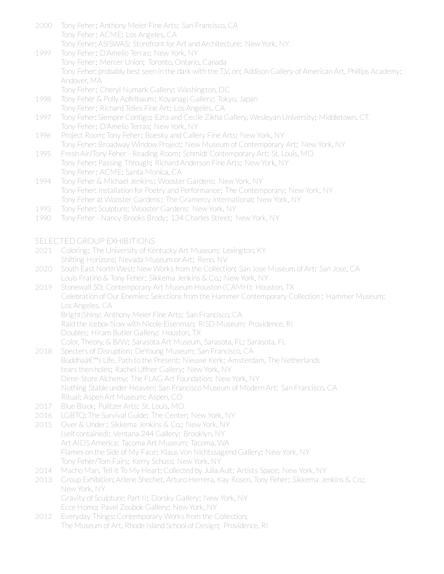- 2000 Tony Feher; Anthony Meier Fine Arts; San Francisco, CA Tony Feher; ACME; Los Angeles, CA Tony Feher: ASISWAS; Storefront for Art and Architecture; New York, NY
- 1999 Tony Feher; D'Amelio Terras; New York, NY Tony Feher; Mercer Union; Toronto, Ontario, Canada Tony Feher: probably best seen in the dark with the T.V. on; Addison Gallery of American Art, Phillips Academy; Andover, MA Tony Feher; Cheryl Numark Gallery; Washington, DC
- 1998 Tony Feher & Polly Apfelbaum; Koyanagi Gallery; Tokyo, Japan Tony Feher; Richard Telles Fine Art; Los Angeles, CA
- 1997 Tony Feher: Siempre Contigo; Ezra and Cecile Zikha Gallery, Wesleyan University; Middletown, CT Tony Feher; D'Amelio Terras; New York, NY
- 1996 Project Room: Tony Feher; Boesky and Callery Fine Arts; New York, NY Tony Feher: Broadway Window Project; New Museum of Contemporary Art; New York, NY
- 1995 Fresh Air/Tony Feher- Reading Room; Schmidt Contemporary Art; St. Louis, MO Tony Feher: Passing Through; Richard Anderson Fine Arts; New York, NY Tony Feher; ACME; Santa Monica, CA
- 1994 Tony Feher & Michael Jenkins; Wooster Gardens; New York, NY Tony Feher: Installation for Poetry and Performance; The Contemporary; New York, NY Tony Feher at Wooster Gardens ; The Gramercy International; New York, NY
- 1993 Tony Feher: Sculpture; Wooster Gardens; New York, NY
- 1990 Tony Feher- Nancy Brooks Brody; 134 Charles Street; New York, NY

## SELECTED GROUP EXHIBITIONS

- 2021 Coloring; The University of Kentucky Art Museum; Lexington, KY Shifting Horizons; Nevada Museum or Art; Reno, NV
- 2020 South East North West: New Works from the Collection; San Jose Museum of Art; San Jose, CA Louis Fratino & Tony Feher; Sikkema Jenkins & Co.; New York, NY
- 2019 Stonewall 50; Contemporary Art Museum Houston (CAMH); Houston, TX Celebration of Our Enemies: Selections from the Hammer Contemporary Collection ; Hammer Museum; Los Angeles, CA Bright|Shiny; Anthony Meier Fine Arts; San Francisco, CA Raid the Icebox Now with Nicole Eisenman; RISD Museum; Providence, RI
	- Doubles; Hiram Butler Gallery; Houston, TX
	- Color. Theory. & B/W; Sarasota Art Museum, Sarasota, FL; Sarasota, FL
- 2018 Specters of Disruption; DeYoung Museum; San Francisco, CA Buddha's Life, Path to the Present; Nieuwe Kerk; Amsterdam, The Netherlands tears then holes; Rachel Uffner Gallery; New York, NY Dime-Store Alchemy; The FLAG Art Foundation; New York, NY Nothing Stable under Heaven; San Francisco Museum of Modern Art; San Francisco, CA Ritual; Aspen Art Museum; Aspen, CO
- 2017 Blue Black; Pulitzer Arts; St. Louis, MO
- 2016 LGBTQ: The Survival Guide; The Center; New York, NY
- 2015 Over & Under; Sikkema Jenkins & Co.; New York, NY (self contained); Ventana 244 Gallery; Brooklyn, NY Art AIDS America; Tacoma Art Museum; Tacoma, WA Flames on the Side of My Face; Klaus Von Nichtssagend Gallery; New York, NY Tony Feher/Tom Fairs; Kerry Schuss; New York, NY
- 2014 Macho Man, Tell It To My Heart: Collected by Julia Ault; Artists Space; New York, NY
- 2013 Group Exhibition: Arlene Shechet, Arturo Herrera, Kay Rosen, Tony Feher; Sikkema Jenkins & Co.; New York, NY

Gravity of Sculpture: Part II; Dorsky Gallery; New York, NY Ecce Homo; Pavel Zoubok Gallery; New York, NY

2012 Everyday Things: Contemporary Works from the Collection; The Museum of Art, Rhode Island School of Design; Providence, RI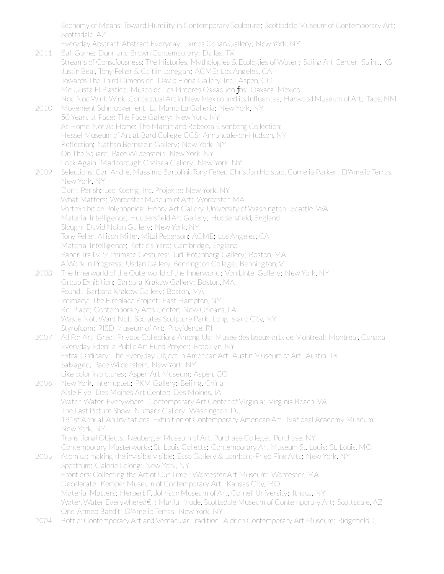Economy of Means: Toward Humility in Contemporary Sculpture; Scottsdale Museum of Contemporary Art; Scottsdale, AZ

Everyday Abstract-Abstract Everyday; James Cohan Gallery; New York, NY

2011 Ball Game: Dunn and Brown Contemporary: Dallas, TX Streams of Consciousness: The Histories, Mythologies & Ecologies of Water; Salina Art Center; Salina, KS Justin Beal, Tony Feher & Caitlin Lonegan; ACME; Los Angeles, CA Towards The Third Dimension; David Floria Gallery, Inc.; Aspen, CO Me Gusta El Plastico; Museo de Los Pintores OaxaquenÌ fos; Oaxaca, Mexico Nod Nod Wink Wink: Conceptual Art in New Mexico and its Influences; Harwood Museum of Art; Taos, NM 2010 Movement Schmoovement; La Mama La Galleria; New York, NY 50 Years at Pace; The Pace Gallery; New York, NY At Home-Not At Home: The Martin and Rebecca Eisenberg Collection; Hessel Museum of Art at Bard College CCS; Annandale-on-Hudson, NY Reflection; Nathan Bernstein Gallery; New York, NY On The Square; Pace Wildenstein; New York, NY Look Again; Marlborough Chelsea Gallery; New York, NY 2009 Selections: Carl Andre, Massimo Bartolini, Tony Feher, Christian Holstad, Cornelia Parker; D'Amelio Terras; New York, NY Don't Perish; Leo Koenig, Inc. Projekte; New York, NY What Matters; Worcester Museum of Art; Worcester, MA Vortexhibition Polyphonica; Henry Art Gallery, University of Washington; Seattle, WA Material Intelligence; Huddersfield Art Gallery; Huddersfield, England Slough; David Nolan Gallery; New York, NY Tony Feher, Allison Miller, Mitzi Pederson; ACME; Los Angeles, CA Material Intelligence; Kettle's Yard; Cambridge, England Paper Trail v. 5: Intimate Gestures; Judi Rotenberg Gallery; Boston, MA A Work in Progress; Usdan Gallery, Bennington College; Bennington, VT 2008 The Innerworld of the Outerworld of the Innerworld; Von Lintel Gallery; New York, NY Group Exhibition; Barbara Krakow Gallery; Boston, MA Found!; Barbara Krakow Gallery; Boston, MA Intimacy; The Fireplace Project; East Hampton, NY Re: Place; Contemporary Arts Center; New Orleans, LA Waste Not, Want Not; Socrates Sculpture Park; Long Island City, NY Styrofoam; RISD Museum of Art; Providence, RI 2007 All For Art! Great Private Collections Among Us; Musee des beaux-arts de Montreal; Montreal, Canada Everyday Eden; a Public Art Fund Project; Brooklyn, NY Extra-Ordinary: The Everyday Object In American Art; Austin Museum of Art; Austin, TX Salvaged; Pace Wildenstein; New York, NY Like color in pictures; Aspen Art Museum; Aspen, CO 2006 New York, Interrupted; PKM Gallery; Beijing, China Aisle Five; Des Moines Art Center; Des Moines, IA Water, Water, Everywhere; Contemporary Art Center of Virginia; Virginia Beach, VA The Last Picture Show; Numark Gallery; Washington, DC 181st Annual: An Invitational Exhibition of Contemporary American Art; National Academy Museum; New York, NY Transitional Objects; Neuberger Museum of Art, Purchase College; Purchase, NY Contemporary Masterworks: St. Louis Collects; Contemporary Art Museum St. Louis; St. Louis, MO 2005 Atomica: making the invisible visible; Esso Gallery & Lombard-Fried Fine Arts; New York, NY Spectrum; Galerie Lelong; New York, NY Frontiers: Collecting the Art of Our Time ; Worcester Art Museum; Worcester, MA Decelerate; Kemper Museum of Contemporary Art; Kansas City, MO Material Matters; Herbert F. Johnson Museum of Art, Cornell University; Ithaca, NY Water, Water Everywhere a El; Marilu Knode, Scottsdale Museum of Contemporary Art; Scottsdale, AZ One-Armed Bandit; D'Amelio Terras; New York, NY 2004 Bottle: Contemporary Art and Vernacular Tradition; Aldrich Contemporary Art Museum; Ridgefield, CT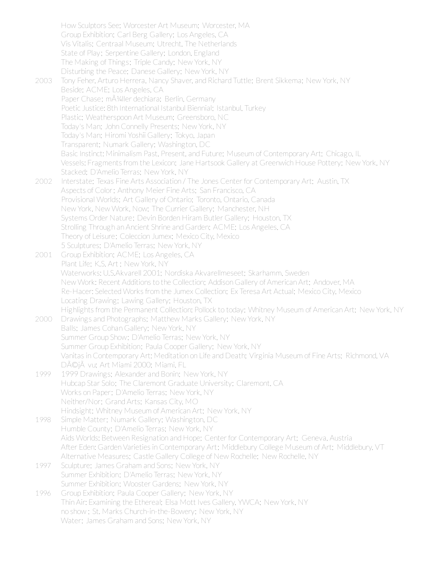How Sculptors See; Worcester Art Museum; Worcester, MA Group Exhibition; Carl Berg Gallery; Los Angeles, CA Vis Vitalis; Centraal Museum; Utrecht, The Netherlands State of Play; Serpentine Gallery; London, England The Making of Things; Triple Candy; New York, NY Disturbing the Peace; Danese Gallery; New York, NY 2003 Tony Feher, Arturo Herrera, Nancy Shaver, and Richard Tuttle; Brent Sikkema; New York, NY Beside; ACME; Los Angeles, CA Paper Chase; m $\tilde{A}$ <sup>1</sup>/<sub>4</sub>ller dechiara; Berlin, Germany Poetic Justice: 8th International Istanbul Biennial; Istanbul, Turkey Plastic; Weatherspoon Art Museum; Greensboro, NC Today's Man; John Connelly Presents; New York, NY Today's Man; Hiromi Yoshii Gallery; Tokyo, Japan Transparent; Numark Gallery; Washington, DC Basic Instinct: Minimalism Past, Present, and Future; Museum of Contemporary Art; Chicago, IL Vessels: Fragments from the Lexicon; Jane Hartsook Gallery at Greenwich House Pottery; New York, NY Stacked; D'Amelio Terras; New York, NY 2002 Interstate; Texas Fine Arts Association / The Jones Centerfor Contemporary Art; Austin, TX Aspects of Color; Anthony Meier Fine Arts; San Francisco, CA Provisional Worlds; Art Gallery of Ontario; Toronto, Ontario, Canada New York, New Work, Now; The Currier Gallery; Manchester, NH Systems Order Nature; Devin Borden Hiram Butler Gallery; Houston, TX Strolling Through an Ancient Shrine and Garden; ACME; Los Angeles, CA Theory of Leisure; Coleccion Jumex; Mexico City, Mexico 5 Sculptures; D'Amelio Terras; New York, NY 2001 Group Exhibition; ACME; Los Angeles, CA Plant Life; K.S. Art ; New York, NY Waterworks: U.S.Akvarell 2001; Nordiska Akvarellmeseet; Skarhamm, Sweden New Work: Recent Additions to the Collection; Addison Gallery of American Art; Andover, MA Re-Hacer: Selected Works from the Jumex Collection; Ex Teresa Art Actual; Mexico City, Mexico Locating Drawing; Lawing Gallery; Houston, TX Highlights from the Permanent Collection: Pollock to today; Whitney Museum of American Art; New York, NY 2000 Drawings and Photographs; Matthew Marks Gallery; New York, NY Balls; James Cohan Gallery; New York, NY Summer Group Show; D'Amelio Terras; New York, NY Summer Group Exhibition; Paula Cooper Gallery; New York, NY Vanitas in Contemporary Art: Meditation on Life and Death; Virginia Museum of Fine Arts; Richmond, VA DéjĂ vu; Art Miami 2000; Miami, FL 1999 1999 Drawings; Alexander and Bonin; New York, NY Hubcap Star Solo; The Claremont Graduate University; Claremont, CA Works on Paper; D'Amelio Terras; New York, NY Neither/Nor; Grand Arts; Kansas City, MO Hindsight; Whitney Museum of American Art; New York, NY 1998 Simple Matter; Numark Gallery; Washington, DC Humble County; D'Amelio Terras; New York, NY Aids Worlds: Between Resignation and Hope; Centerfor Contemporary Art; Geneva, Austria After Eden: Garden Varieties in Contemporary Art; Middlebury College Museum of Art; Middlebury, VT Alternative Measures; Castle Gallery College of New Rochelle; New Rochelle, NY 1997 Sculpture; James Graham and Sons; New York, NY Summer Exhibition; D'Amelio Terras; New York, NY Summer Exhibition; Wooster Gardens; New York, NY 1996 Group Exhibition; Paula Cooper Gallery; New York, NY Thin Air: Examining the Ethereal; Elsa Mott Ives Gallery, YWCA; New York, NY no show ; St. Marks Church-in-the-Bowery; New York, NY Water; James Graham and Sons; New York, NY